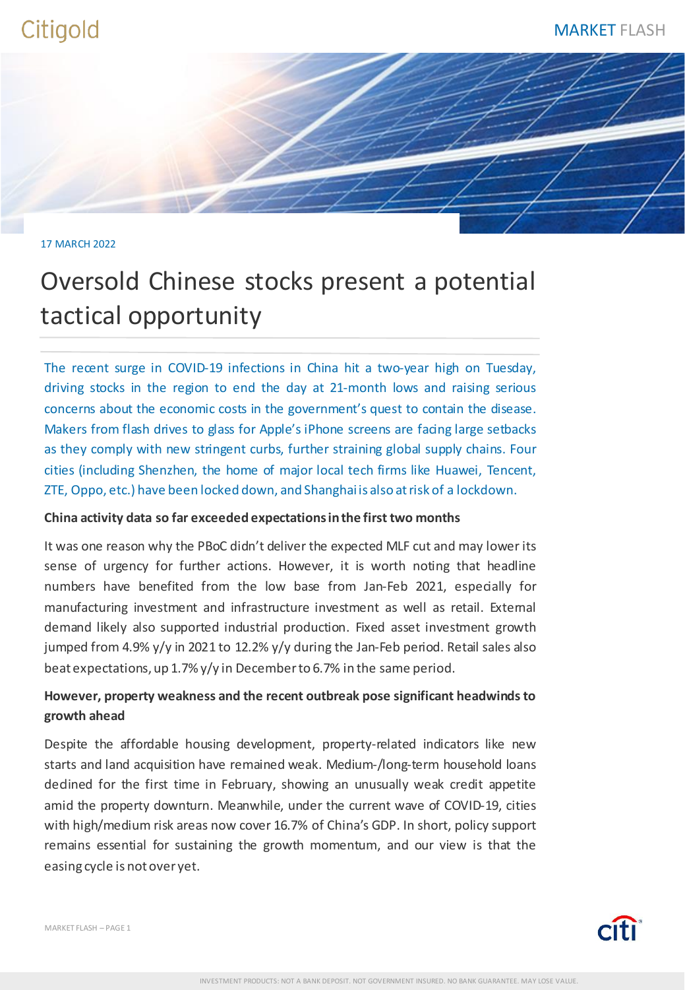### 17 MARCH 2022

# Oversold Chinese stocks present a potential tactical opportunity

The recent surge in COVID-19 infections in China hit a two-year high on Tuesday, driving stocks in the region to end the day at 21-month lows and raising serious concerns about the economic costs in the government's quest to contain the disease. Makers from flash drives to glass for Apple's iPhone screens are facing large setbacks as they comply with new stringent curbs, further straining global supply chains. Four cities (including Shenzhen, the home of major local tech firms like Huawei, Tencent, ZTE, Oppo, etc.) have been locked down, and Shanghaiis also atrisk of a lockdown.

## **China activity data so far exceeded expectationsinthe first two months**

It was one reason why the PBoC didn't deliver the expected MLF cut and may lower its sense of urgency for further actions. However, it is worth noting that headline numbers have benefited from the low base from Jan-Feb 2021, especially for manufacturing investment and infrastructure investment as well as retail. External demand likely also supported industrial production. Fixed asset investment growth jumped from 4.9% y/y in 2021 to 12.2% y/y during the Jan-Feb period. Retail sales also beat expectations, up 1.7% y/y in Decemberto 6.7% in the same period.

## **However, property weakness and the recent outbreak pose significant headwindsto growth ahead**

Despite the affordable housing development, property-related indicators like new starts and land acquisition have remained weak. Medium-/long-term household loans declined for the first time in February, showing an unusually weak credit appetite amid the property downturn. Meanwhile, under the current wave of COVID-19, cities with high/medium risk areas now cover 16.7% of China's GDP. In short, policy support remains essential for sustaining the growth momentum, and our view is that the easing cycle is not over yet.

MARKET FLASH – PAGE 1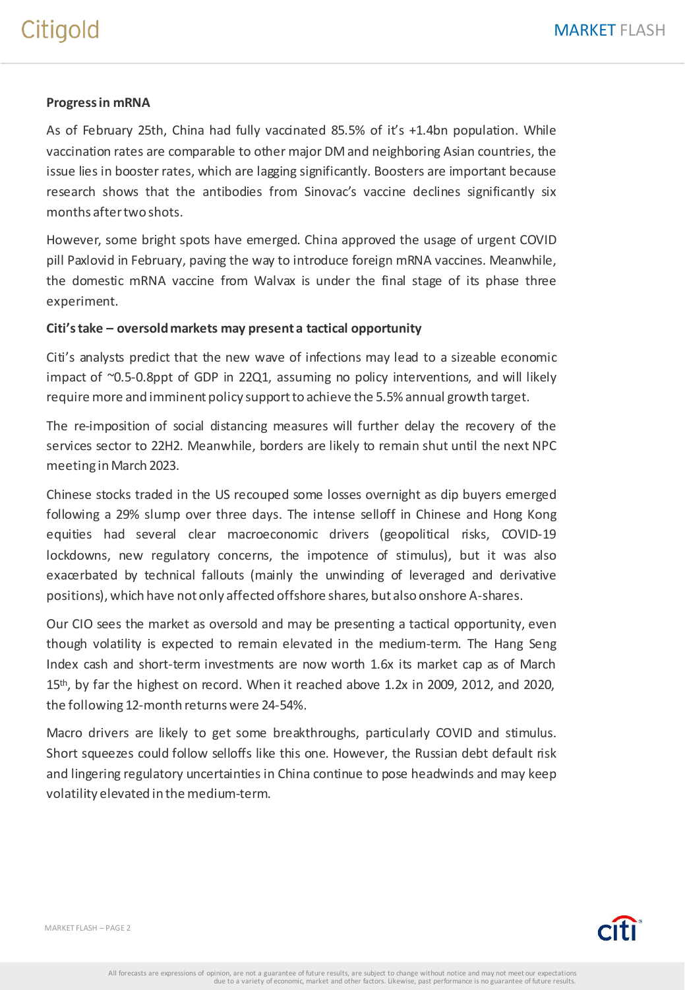## Citigold

## **Progressin mRNA**

As of February 25th, China had fully vaccinated 85.5% of it's +1.4bn population. While vaccination rates are comparable to other major DM and neighboring Asian countries, the issue lies in booster rates, which are lagging significantly. Boosters are important because research shows that the antibodies from Sinovac's vaccine declines significantly six months aftertwo shots.

However, some bright spots have emerged. China approved the usage of urgent COVID pill Paxlovid in February, paving the way to introduce foreign mRNA vaccines. Meanwhile, the domestic mRNA vaccine from Walvax is under the final stage of its phase three experiment.

## **Citi'stake – oversoldmarkets may present a tactical opportunity**

Citi's analysts predict that the new wave of infections may lead to a sizeable economic impact of ~0.5-0.8ppt of GDP in 22Q1, assuming no policy interventions, and will likely require more and imminent policy supportto achieve the 5.5% annual growth target.

The re-imposition of social distancing measures will further delay the recovery of the services sector to 22H2. Meanwhile, borders are likely to remain shut until the next NPC meeting inMarch 2023.

Chinese stocks traded in the US recouped some losses overnight as dip buyers emerged following a 29% slump over three days. The intense selloff in Chinese and Hong Kong equities had several clear macroeconomic drivers (geopolitical risks, COVID-19 lockdowns, new regulatory concerns, the impotence of stimulus), but it was also exacerbated by technical fallouts (mainly the unwinding of leveraged and derivative positions), which have not only affected offshore shares, but also onshore A-shares.

Our CIO sees the market as oversold and may be presenting a tactical opportunity, even though volatility is expected to remain elevated in the medium-term. The Hang Seng Index cash and short-term investments are now worth 1.6x its market cap as of March 15<sup>th</sup>, by far the highest on record. When it reached above 1.2x in 2009, 2012, and 2020, the following 12-month returns were 24-54%.

Macro drivers are likely to get some breakthroughs, particularly COVID and stimulus. Short squeezes could follow selloffs like this one. However, the Russian debt default risk and lingering regulatory uncertaintiesin China continue to pose headwinds and may keep volatility elevated in the medium-term.

MARKET FLASH – PAGE 2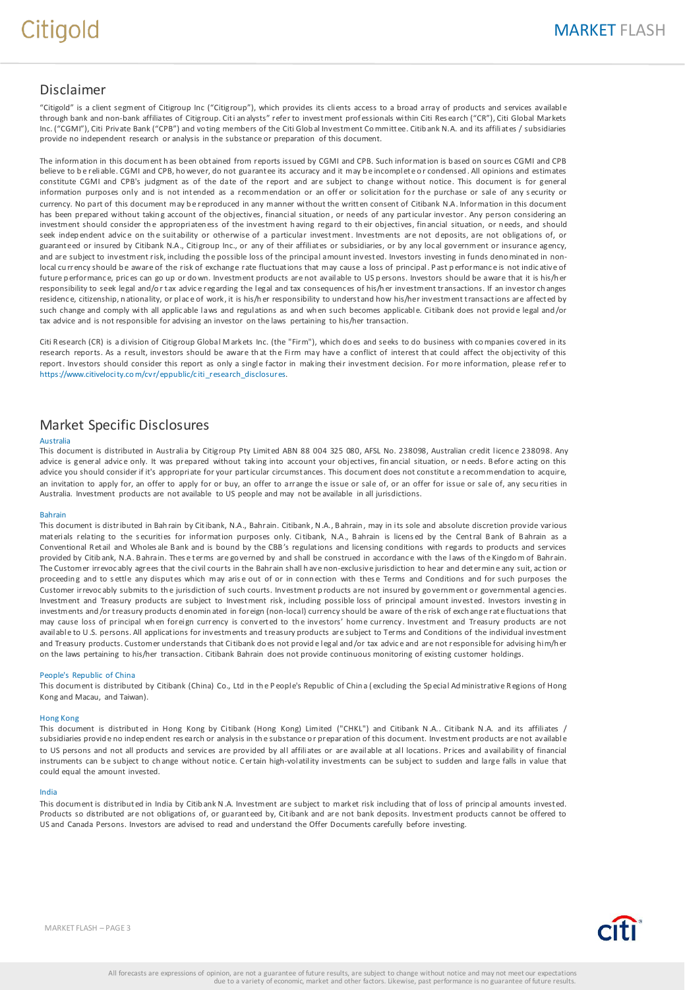## Disclaimer

"Citigold" is a client segment of Citigroup Inc ("Citigroup"), which provides its clients access to a broad array of products and services available through bank and non-bank affiliates of Citigroup. Citi an alysts" refer to investment prof essionals within Citi Res earch ("CR"), Citi Global Markets Inc. ("CGMI"), Citi Private Bank ("CPB") and vo ting members of the Citi Glob al Investment Co mmittee. Citib ank N.A. and its affiliates / subsidiaries provide no independent research or analysis in the substance or preparation of this document.

The information in this document h as been obtained from reports issued by CGMI and CPB. Such information is b ased on sourc es CGMI and CPB believe to be reliable. CGMI and CPB, ho wever, do not guarantee its accuracy and it may be incomplete or condensed. All opinions and estimates constitute CGMI and CPB's judgment as of the date of the report and are subject to change without notice. This document is for general information purposes only and is not intended as a recommendation or an offer or solicitation for the purchase or sale of any security or currency. No part of this document may b e reproduced in any manner without the written consent of Citibank N.A. Information in this document has been prepared without taking account of the objectives, financial situation, or needs of any particular investor. Any person considering an investment should consider the appropriateness of the investment having regard to their objectives, financial situation, or needs, and should seek independent advice on the suitability or otherwise of a particular investment. Investments are not deposits, are not obligations of, or guaranteed or insured by Citibank N.A., Citigroup Inc., or any of their affiliates or subsidiaries, or by any local government or insurance agency, and are subject to investment risk, including the possible loss of the principal amount invested. Investors investing in funds deno minated in nonlocal cu rrency should be aware of the risk of exchange rate fluctuations that may cause a loss of principal. Past performance is not indic ative of future p erformance, prices can go up or do wn. Investment products are not available to US persons. Investors should be aware that it is his/h er responsibility to seek legal and/or tax advice regarding the legal and tax consequences of his/her investment transactions. If an investor changes residence, citizenship, nationality, or place of work, it is his/her responsibility to understand how his/her investment transactions are affected by such change and comply with all applic able laws and regulations as and when such becomes applicable. Citibank does not provide legal and/or tax advice and is not responsible for advising an investor on the laws pertaining to his/her transaction.

Citi R esearch (CR) is a division of Citigroup Global M arkets Inc. (the "Firm"), which do es and seeks to do business with co mpanies covered in its research reports. As a result, investors should be aware that the Firm may have a conflict of interest that could affect the objectivity of this report. Investors should consider this report as only a single factor in making their investment decision. For more information, please refer to https://www.citivelocity.com/cvr/eppublic/citi\_research\_disclosures.

## Market Specific Disclosures

#### Australia

This document is distributed in Australia by Citigroup Pty Limited ABN 88 004 325 080, AFSL No. 238098, Australian credit licenc e 238098. Any advice is general advice only. It was prepared without taking into account your objectives, financial situation, or needs. Before acting on this advice you should consider if it's appropriate for your particular circumstances. This document does not constitute a recommendation to acquire, an invitation to apply for, an offer to apply for or buy, an offer to arrange the issue or sale of, or an offer for issue or sale of, any securities in Australia. Investment products are not available to US people and may not be available in all jurisdictions.

#### Bahrain

This document is distributed in Bah rain by Citibank, N.A., Bahrain. Citibank, N.A., B ahrain , may in its sole and absolute discretion provide various materials relating to the securities for information purposes only. Citibank, N.A., Bahrain is licensed by the Central Bank of Bahrain as a Conventional R etail and Wholes ale B ank and is bound by the CBB's regulations and licensing conditions with regards to products and services provided by Citib ank, N.A. B ahrain. Thes e terms are governed by and shall be construed in accordance with the laws of the Kingdom of Bahrain. The Customer irrevoc ably agrees that the civil courts in the Bahrain shall h ave non-exclusive jurisdiction to hear and determin e any suit, ac tion or proceedin g and to s ettle any disputes which may aris e out of or in conn ection with thes e Terms and Conditions and for such purposes the Customer irrevocably submits to the jurisdiction of such courts. Investment products are not insured by government or governmental agencies. Investment and Treasury products are subject to Investment risk, including possible loss of principal amount invested. Investors investin g in investments and /or treasury products d enomin ated in foreign (non-local) currency should be aware of th e risk of exch ange rate fluctuations that may cause loss of principal wh en foreign currency is converted to th e investors' home currency . Investment and Treasury products are not available to U.S. persons. All applications for investments and treasury products are subject to Terms and Conditions of the individual investment and Treasury products. Customer understands that Citibank do es not provid e legal and /or tax advic e and are not responsible for advising him/h er on the laws pertaining to his/her transaction. Citibank Bahrain does not provide continuous monitoring of existing customer holdings.

#### People's Republic of China

This document is distributed by Citibank (China) Co., Ltd in the People's Republic of China (excluding the Special Administrative Regions of Hong Kong and Macau, and Taiwan).

#### Hong Kong

This document is distributed in Hong Kong by Citibank (Hong Kong) Limited ("CHKL") and Citibank N.A.. Citibank N.A. and its affiliates / subsidiaries provide no independent research or analysis in the substance or preparation of this document. Investment products are not available to US persons and not all products and servic es are provided by all affiliates or are available at all locations. Prices and availability of financial instruments can be subject to change without notice. Certain high-volatility investments can be subject to sudden and large falls in value that could equal the amount invested.

#### India

This document is distributed in India by Citib ank N.A. Investment are subject to market risk including that of loss of princip al amounts invested. Products so distributed are not obligations of, or guaranteed by, Citibank and are not bank deposits. Investment products cannot be offered to US and Canada Persons. Investors are advised to read and understand the Offer Documents carefully before investing.